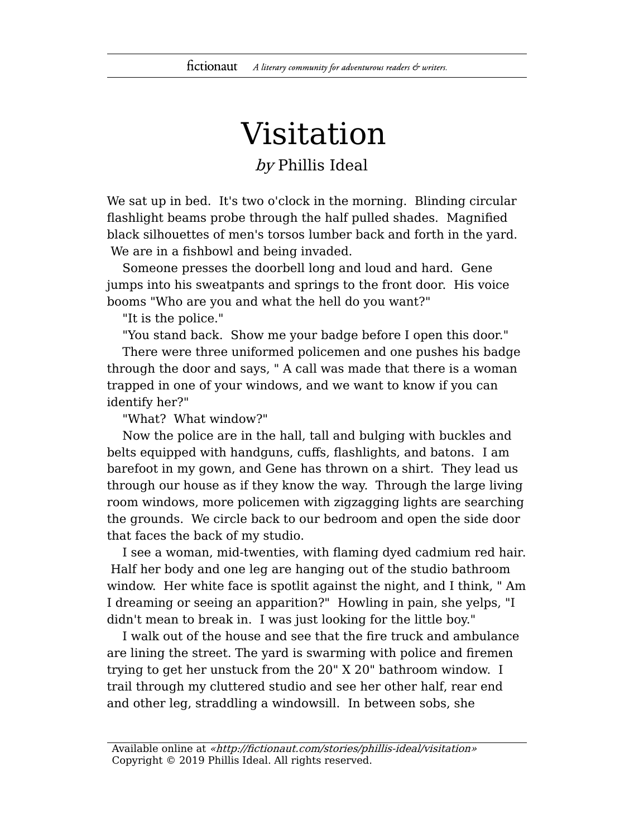## Visitation

## by Phillis Ideal

We sat up in bed. It's two o'clock in the morning. Blinding circular flashlight beams probe through the half pulled shades. Magnified black silhouettes of men's torsos lumber back and forth in the yard. We are in a fishbowl and being invaded.

Someone presses the doorbell long and loud and hard. Gene jumps into his sweatpants and springs to the front door. His voice booms "Who are you and what the hell do you want?"

"It is the police."

"You stand back. Show me your badge before I open this door."

There were three uniformed policemen and one pushes his badge through the door and says, " A call was made that there is a woman trapped in one of your windows, and we want to know if you can identify her?"

"What? What window?"

Now the police are in the hall, tall and bulging with buckles and belts equipped with handguns, cuffs, flashlights, and batons. I am barefoot in my gown, and Gene has thrown on a shirt. They lead us through our house as if they know the way. Through the large living room windows, more policemen with zigzagging lights are searching the grounds. We circle back to our bedroom and open the side door that faces the back of my studio.

I see a woman, mid-twenties, with flaming dyed cadmium red hair. Half her body and one leg are hanging out of the studio bathroom window. Her white face is spotlit against the night, and I think, " Am I dreaming or seeing an apparition?" Howling in pain, she yelps, "I didn't mean to break in. I was just looking for the little boy."

I walk out of the house and see that the fire truck and ambulance are lining the street. The yard is swarming with police and firemen trying to get her unstuck from the 20" X 20" bathroom window. I trail through my cluttered studio and see her other half, rear end and other leg, straddling a windowsill. In between sobs, she

Available online at «http://fictionaut.com/stories/phillis-ideal/visitation» Copyright © 2019 Phillis Ideal. All rights reserved.